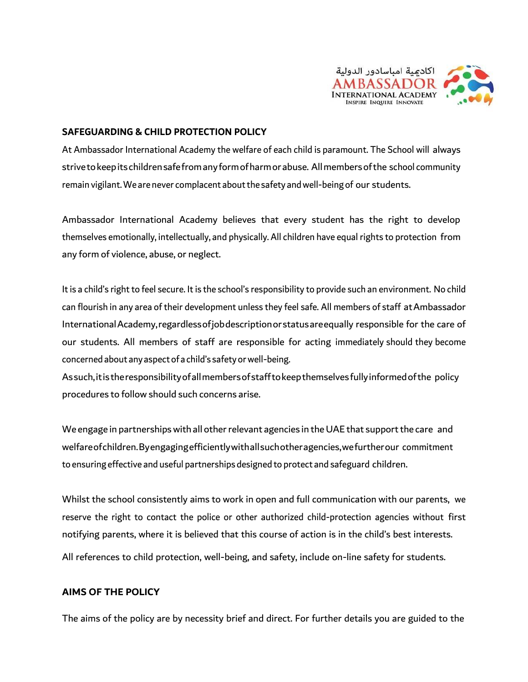

#### **SAFEGUARDING & CHILD PROTECTION POLICY**

At Ambassador International Academy the welfare of each child is paramount. The School will always strivetokeepitschildrensafefromanyformofharmorabuse. Allmembersofthe school community remain vigilant. We are never complacent about the safety and well-being of our students.

Ambassador International Academy believes that every student has the right to develop themselves emotionally, intellectually, and physically. All children have equal rights to protection from any form of violence, abuse, or neglect.

It is a child's right to feel secure. It is the school's responsibility to provide such an environment. No child can flourish in any area of their development unless they feel safe. All members of staff atAmbassador InternationalAcademy,regardlessofjobdescriptionorstatusareequally responsible for the care of our students. All members of staff are responsible for acting immediately should they become concerned about any aspect of a child's safety or well-being.

Assuch,itistheresponsibilityofallmembersofstafftokeepthemselvesfullyinformedofthe policy procedures to follow should such concerns arise.

We engage in partnerships with all other relevant agencies in the UAE that support the care and welfareofchildren.Byengagingefficientlywithallsuchotheragencies,wefurtherour commitment to ensuring effective and useful partnerships designed to protect and safeguard children.

Whilst the school consistently aims to work in open and full communication with our parents, we reserve the right to contact the police or other authorized child-protection agencies without first notifying parents, where it is believed that this course of action is in the child's best interests.

All references to child protection, well-being, and safety, include on-line safety for students.

#### **AIMS OF THE POLICY**

The aims of the policy are by necessity brief and direct. For further details you are guided to the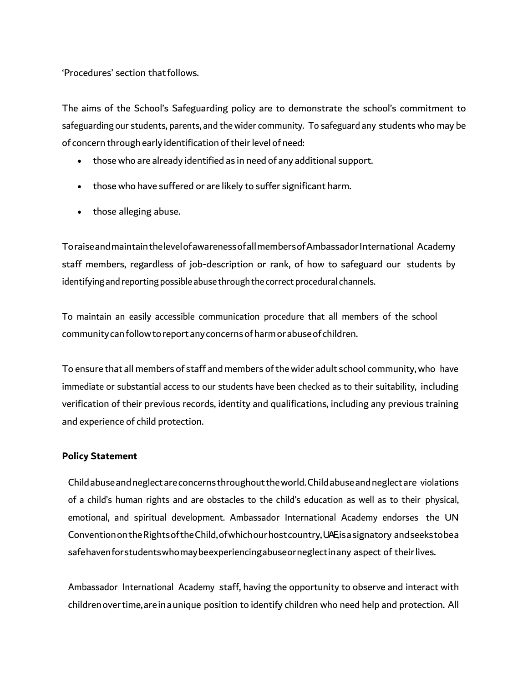'Procedures' section that follows.

The aims of the School's Safeguarding policy are to demonstrate the school's commitment to safeguarding our students, parents, and thewider community. To safeguard any students who may be of concern through early identification of their level of need:

- thosewho are already identified as in need of any additional support.
- those who have suffered or are likely to suffer significant harm.
- those alleging abuse.

ToraiseandmaintainthelevelofawarenessofallmembersofAmbassadorInternational Academy staff members, regardless of job-description or rank, of how to safeguard our students by identifying and reporting possible abuse through the correct procedural channels.

To maintain an easily accessible communication procedure that all members of the school communitycanfollowtoreportanyconcernsofharmorabuseof children.

To ensure that all members of staff and members of the wider adult school community, who have immediate or substantial access to our students have been checked as to their suitability, including verification of their previous records, identity and qualifications, including any previous training and experience of child protection.

#### **Policy Statement**

Childabuseandneglectareconcernsthroughouttheworld.Childabuseandneglectare violations of a child's human rights and are obstacles to the child's education as well as to their physical, emotional, and spiritual development. Ambassador International Academy endorses the UN ConventionontheRightsoftheChild,ofwhichourhostcountry,UAE, isasignatory andseekstobea safehavenforstudentswhomaybeexperiencingabuseorneglectinany aspect of theirlives.

Ambassador International Academy staff, having the opportunity to observe and interact with childrenovertime,areinaunique position to identify children who need help and protection. All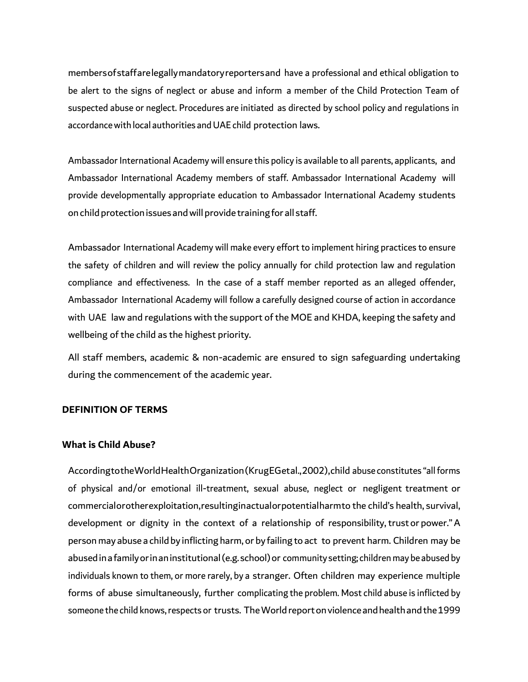membersofstaffarelegallymandatoryreportersand have a professional and ethical obligation to be alert to the signs of neglect or abuse and inform a member of the Child Protection Team of suspected abuse or neglect. Procedures are initiated as directed by school policy and regulations in accordance with local authorities and UAE child protection laws.

Ambassador International Academy will ensure this policy is available to all parents, applicants, and Ambassador International Academy members of staff. Ambassador International Academy will provide developmentally appropriate education to Ambassador International Academy students on child protection issues and will provide training for all staff.

Ambassador International Academy will make every effort to implement hiring practices to ensure the safety of children and will review the policy annually for child protection law and regulation compliance and effectiveness. In the case of a staff member reported as an alleged offender, Ambassador International Academy will follow a carefully designed course of action in accordance with UAE law and regulations with the support of the MOE and KHDA, keeping the safety and wellbeing of the child as the highest priority.

All staff members, academic & non-academic are ensured to sign safeguarding undertaking during the commencement of the academic year.

#### **DEFINITION OF TERMS**

#### **What is Child Abuse?**

AccordingtotheWorldHealthOrganization(KrugEGetal.,2002),child abuse constitutes "allforms of physical and/or emotional ill-treatment, sexual abuse, neglect or negligent treatment or commercialorotherexploitation,resultinginactualorpotentialharmto the child's health, survival, development or dignity in the context of a relationship of responsibility, trust or power."A personmay abuse a childby inflicting harm, or by failing to act to prevent harm. Children may be abusedinafamilyorinaninstitutional(e.g.school)or community setting; childrenmay be abused by individuals known to them, or more rarely, by a stranger. Often children may experience multiple forms of abuse simultaneously, further complicating the problem. Most child abuse is inflicted by someone the child knows, respects or trusts. The World report on violence and health and the 1999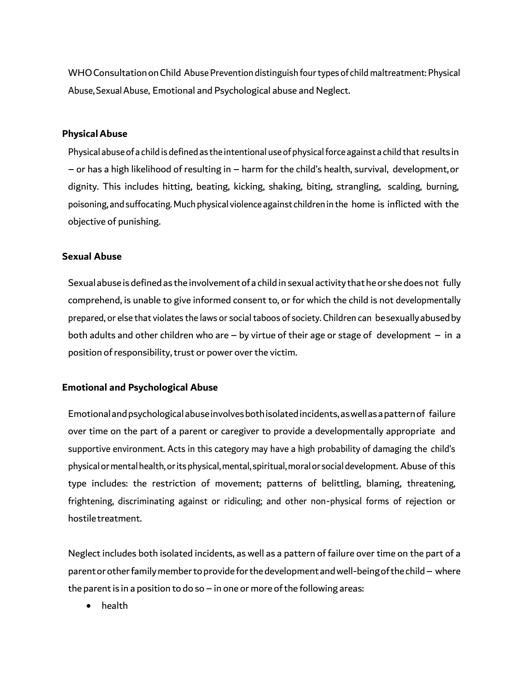WHO Consultation on Child Abuse Prevention distinguish four types of child maltreatment: Physical Abuse, Sexual Abuse, Emotional and Psychological abuse and Neglect.

#### **PhysicalAbuse**

Physical abuse of a child is defined as the intentional use of physical force against a child that results in – or has a high likelihood of resulting in – harm for the child's health, survival, development,or dignity. This includes hitting, beating, kicking, shaking, biting, strangling, scalding, burning, poisoning, and suffocating. Much physical violence against children in the home is inflicted with the objective of punishing.

#### **Sexual Abuse**

Sexual abuseis defined as the involvementofa child in sexual activity thatheor she does not fully comprehend, is unable to give informed consent to, or for which the child is not developmentally prepared, or else that violates the laws or socialtaboos of society. Children can besexuallyabusedby both adults and other children who are – by virtue of their age or stage of development – in a position of responsibility, trust or power over the victim.

#### **Emotional and Psychological Abuse**

Emotionalandpsychologicalabuseinvolvesbothisolatedincidents,aswellasapatternof failure over time on the part of a parent or caregiver to provide a developmentally appropriate and supportive environment. Acts in this category may have a high probability of damaging the child's physical or mental health, or its physical, mental, spiritual, moral or social development. Abuse of this type includes: the restriction of movement; patterns of belittling, blaming, threatening, frightening, discriminating against or ridiculing; and other non-physical forms of rejection or hostiletreatment.

Neglect includes both isolated incidents, as well as a pattern of failure over time on the part of a parentorotherfamilymembertoprovideforthedevelopmentandwell-beingofthechild– where the parent is in a position to do so – in one or more of the following areas:

• health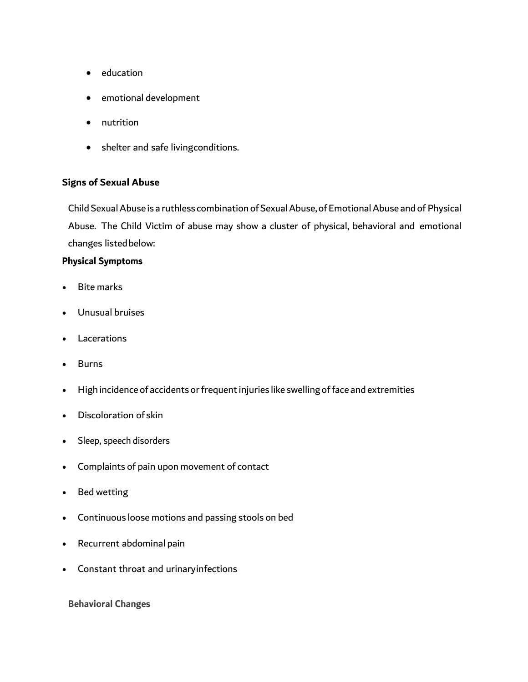- education
- emotional development
- nutrition
- shelter and safe livingconditions.

#### **Signs of Sexual Abuse**

Child Sexual Abuse is a ruthless combination of Sexual Abuse, of Emotional Abuse and of Physical Abuse. The Child Victim of abuse may show a cluster of physical, behavioral and emotional changes listedbelow:

#### **Physical Symptoms**

- Bite marks
- Unusual bruises
- **Lacerations**
- **Burns**
- High incidence of accidents or frequent injuries like swelling of face and extremities
- Discoloration of skin
- Sleep, speech disorders
- Complaints of pain upon movement of contact
- Bed wetting
- Continuous loose motions and passing stools on bed
- Recurrent abdominal pain
- Constant throat and urinaryinfections

**Behavioral Changes**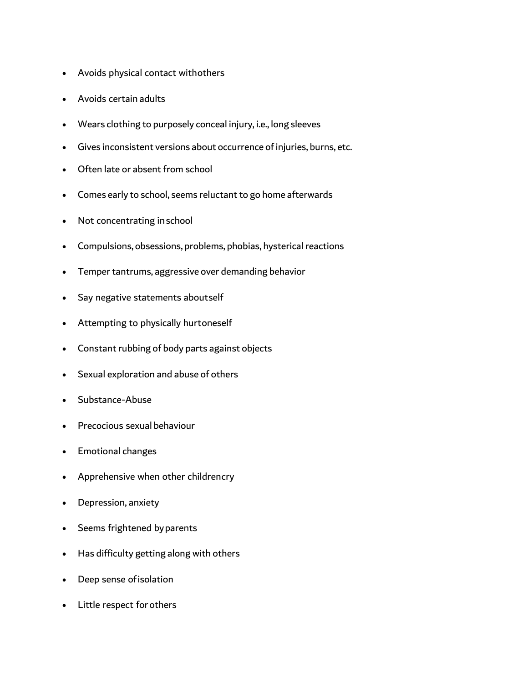- Avoids physical contact withothers
- Avoids certain adults
- Wears clothing to purposely conceal injury, i.e., long sleeves
- Gives inconsistent versions about occurrence of injuries, burns, etc.
- Often late or absent from school
- Comes early to school, seems reluctant to go home afterwards
- Not concentrating inschool
- Compulsions, obsessions, problems, phobias, hysterical reactions
- Temper tantrums, aggressive over demanding behavior
- Say negative statements aboutself
- Attempting to physically hurtoneself
- Constant rubbing of body parts against objects
- Sexual exploration and abuse of others
- Substance-Abuse
- Precocious sexual behaviour
- Emotional changes
- Apprehensive when other childrencry
- Depression, anxiety
- Seems frightened byparents
- Has difficulty getting along with others
- Deep sense ofisolation
- Little respect forothers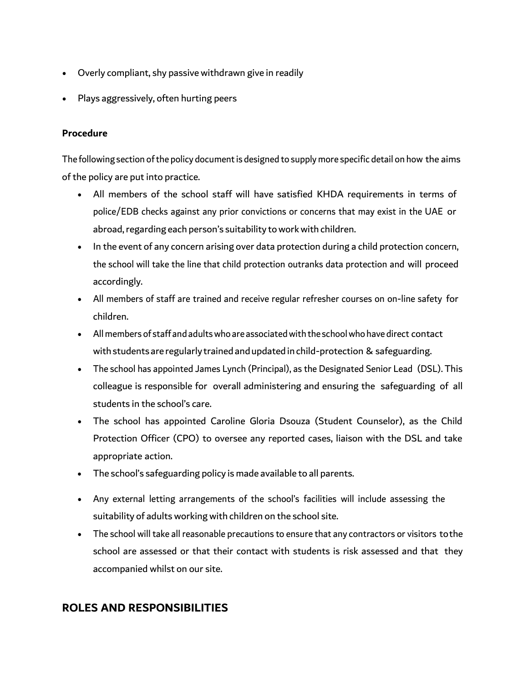- Overly compliant, shy passive withdrawn give in readily
- Plays aggressively, often hurting peers

#### **Procedure**

The following section of the policy document is designed to supply more specific detail on how the aims of the policy are put into practice.

- All members of the school staff will have satisfied KHDA requirements in terms of police/EDB checks against any prior convictions or concerns that may exist in the UAE or abroad, regarding each person's suitability to work with children.
- In the event of any concern arising over data protection during a child protection concern, the school will take the line that child protection outranks data protection and will proceed accordingly.
- All members of staff are trained and receive regular refresher courses on on-line safety for children.
- All members of staff and adults who are associated with the school who have direct contact with students are regularly trained and updated in child-protection & safeguarding.
- The school has appointed James Lynch (Principal), as the Designated Senior Lead (DSL). This colleague is responsible for overall administering and ensuring the safeguarding of all students in the school's care.
- The school has appointed Caroline Gloria Dsouza (Student Counselor), as the Child Protection Officer (CPO) to oversee any reported cases, liaison with the DSL and take appropriate action.
- The school's safeguarding policy is made available to all parents.
- Any external letting arrangements of the school's facilities will include assessing the suitability of adults working with children on the school site.
- The school will take all reasonable precautions to ensure that any contractors or visitors tothe school are assessed or that their contact with students is risk assessed and that they accompanied whilst on our site.

# **ROLES AND RESPONSIBILITIES**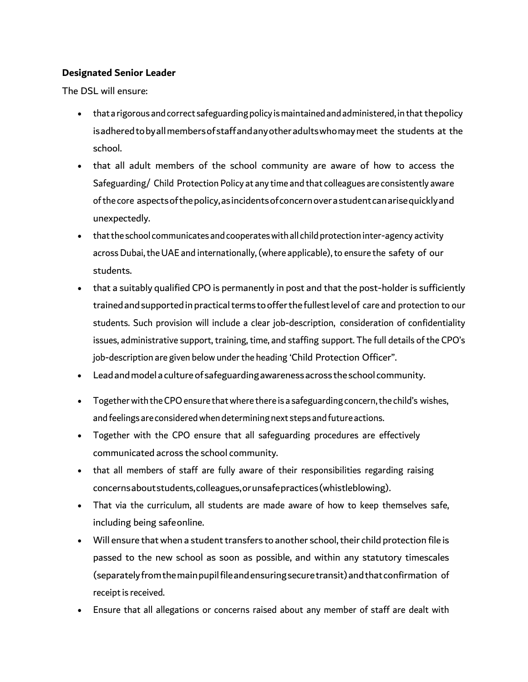## **Designated Senior Leader**

The DSL will ensure:

- that a rigorous and correct safeguarding policy is maintained and administered, in that the policy isadheredtobyallmembersofstaffandanyotheradultswhomaymeet the students at the school.
- that all adult members of the school community are aware of how to access the Safeguarding/ Child Protection Policy at any time and that colleagues are consistently aware ofthe core aspectsofthepolicy,asincidentsofconcernoverastudentcanarisequicklyand unexpectedly.
- that the school communicates and cooperates with all child protection inter-agency activity across Dubai, the UAE and internationally, (where applicable), to ensure the safety of our students.
- that a suitably qualified CPO is permanently in post and that the post-holder is sufficiently trained and supported in practical terms to offer the fullest level of care and protection to our students. Such provision will include a clear job-description, consideration of confidentiality issues, administrative support, training, time, and staffing support. The full details of the CPO's job-description are given below under the heading 'Child Protection Officer".
- Leadandmodel aculture of safeguardingawarenessacross theschool community.
- Together with the CPO ensure that where there is a safeguarding concern, the child's wishes, and feelings are considered when determining next steps and future actions.
- Together with the CPO ensure that all safeguarding procedures are effectively communicated across the school community.
- that all members of staff are fully aware of their responsibilities regarding raising concernsaboutstudents,colleagues,orunsafepractices(whistleblowing).
- That via the curriculum, all students are made aware of how to keep themselves safe, including being safeonline.
- Will ensure that when a student transfers to another school, their child protection file is passed to the new school as soon as possible, and within any statutory timescales (separatelyfromthemainpupilfileandensuringsecuretransit)andthatconfirmation of receipt is received.
- Ensure that all allegations or concerns raised about any member of staff are dealt with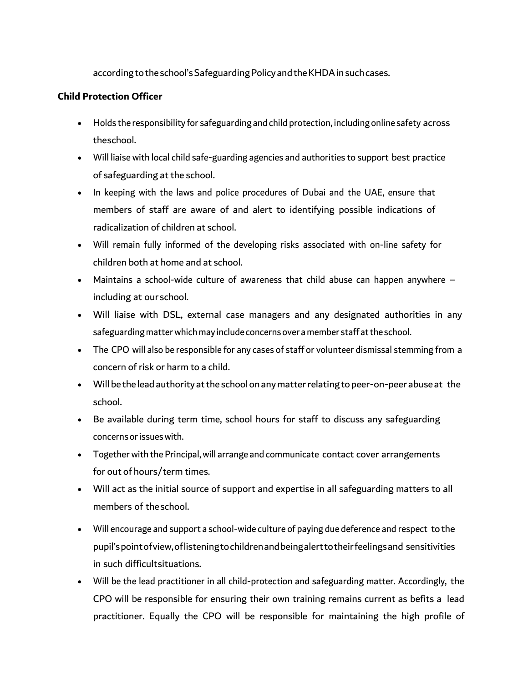according to the school's Safeguarding Policy and the KHDA in such cases.

## **Child Protection Officer**

- Holds the responsibility for safeguarding and child protection, including online safety across theschool.
- Will liaise with local child safe-guarding agencies and authorities to support best practice of safeguarding at the school.
- In keeping with the laws and police procedures of Dubai and the UAE, ensure that members of staff are aware of and alert to identifying possible indications of radicalization of children at school.
- Will remain fully informed of the developing risks associated with on-line safety for children both at home and at school.
- Maintains a school-wide culture of awareness that child abuse can happen anywhere including at ourschool.
- Will liaise with DSL, external case managers and any designated authorities in any safeguarding matter which may include concerns over a member staff at the school.
- The CPO will also be responsible for any cases of staff or volunteer dismissal stemming from a concern of risk or harm to a child.
- Will be the lead authority at the school on any matter relating to peer-on-peer abuse at the school.
- Be available during term time, school hours for staff to discuss any safeguarding concernsorissueswith.
- Together with the Principal,will arrange and communicate contact cover arrangements for out of hours/term times.
- Will act as the initial source of support and expertise in all safeguarding matters to all members of theschool.
- Will encourage and support a school-wide culture of paying due deference and respect tothe pupil'spointofview,oflisteningtochildrenandbeingalerttotheirfeelingsand sensitivities in such difficultsituations.
- Will be the lead practitioner in all child-protection and safeguarding matter. Accordingly, the CPO will be responsible for ensuring their own training remains current as befits a lead practitioner. Equally the CPO will be responsible for maintaining the high profile of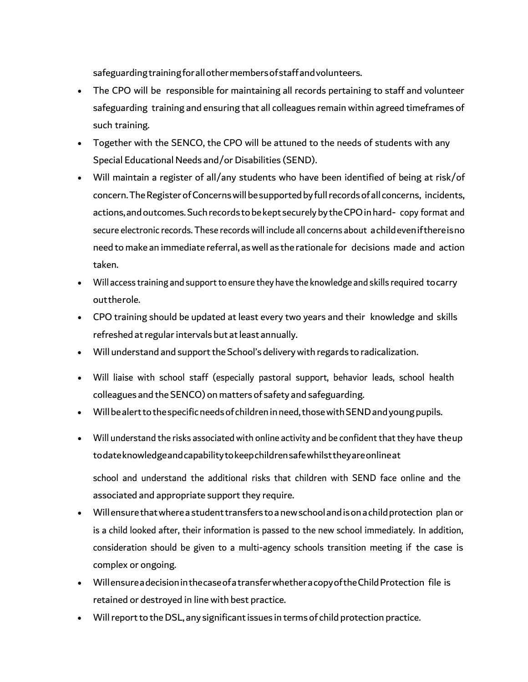safeguardingtrainingforallothermembersofstaffandvolunteers.

- The CPO will be responsible for maintaining all records pertaining to staff and volunteer safeguarding training and ensuring that all colleagues remain within agreed timeframes of such training.
- Together with the SENCO, the CPO will be attuned to the needs of students with any Special Educational Needs and/or Disabilities (SEND).
- Will maintain a register of all/any students who have been identified of being at risk/of concern. The Register of Concerns will be supported by full records of all concerns, incidents, actions,andoutcomes.Suchrecordstobekept securelybytheCPOinhard- copy format and secure electronic records. These records will include all concerns about achildevenifthereisno need tomake an immediate referral, aswell as the rationale for decisions made and action taken.
- Will access training and support to ensure they have the knowledge and skills required tocarry outtherole.
- CPO training should be updated at least every two years and their knowledge and skills refreshed at regular intervals but at least annually.
- Will understand and support the School's delivery with regards to radicalization.
- Will liaise with school staff (especially pastoral support, behavior leads, school health colleagues and the SENCO) on matters of safety and safeguarding.
- Will be alert to the specific needs of children in need, those with SEND and young pupils.
- Will understand the risks associated with online activity and be confident that they have theup todateknowledgeandcapabilitytokeepchildrensafewhilsttheyareonlineat

school and understand the additional risks that children with SEND face online and the associated and appropriate support they require.

- Willensure that where a student transfers to a new school and is on a child protection plan or is a child looked after, their information is passed to the new school immediately. In addition, consideration should be given to a multi-agency schools transition meeting if the case is complex or ongoing.
- Willensureadecision in the case of a transfer whether a copy of the Child Protection file is retained or destroyed in line with best practice.
- Will report to the DSL, any significant issues in terms of child protection practice.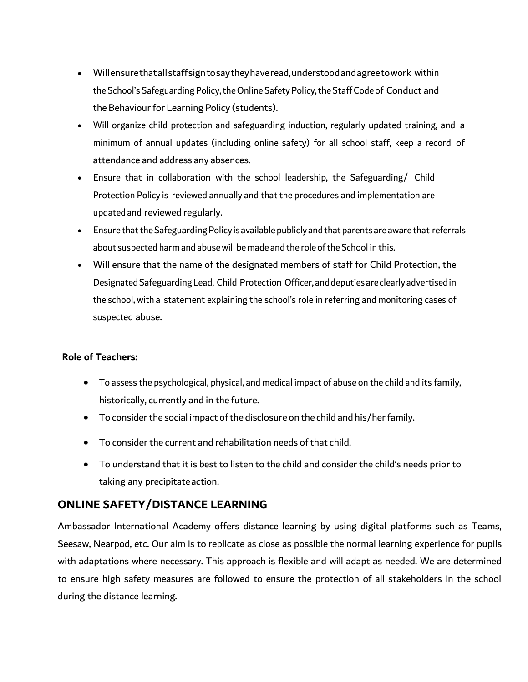- Willensurethatallstaffsigntosaytheyhaveread,understoodandagreetowork within the School's Safeguarding Policy, the Online Safety Policy, the Staff Code of Conduct and the Behaviour for Learning Policy (students).
- Will organize child protection and safeguarding induction, regularly updated training, and a minimum of annual updates (including online safety) for all school staff, keep a record of attendance and address any absences.
- Ensure that in collaboration with the school leadership, the Safeguarding/ Child Protection Policy is reviewed annually and that the procedures and implementation are updated and reviewed regularly.
- Ensure that the Safeguarding Policy is available publicly and that parents are aware that referrals about suspected harm and abuse will be made and the role of the School in this.
- Will ensure that the name of the designated members of staff for Child Protection, the DesignatedSafeguardingLead, Child Protection Officer, anddeputies areclearly advertisedin the school, with a statement explaining the school's role in referring and monitoring cases of suspected abuse.

## **Role of Teachers:**

- To assess the psychological, physical, and medical impact of abuse on the child and its family, historically, currently and in the future.
- To consider the social impact of the disclosure on the child and his/her family.
- To consider the current and rehabilitation needs of that child.
- To understand that it is best to listen to the child and consider the child's needs prior to taking any precipitateaction.

# **ONLINE SAFETY/DISTANCE LEARNING**

Ambassador International Academy offers distance learning by using digital platforms such as Teams, Seesaw, Nearpod, etc. Our aim is to replicate as close as possible the normal learning experience for pupils with adaptations where necessary. This approach is flexible and will adapt as needed. We are determined to ensure high safety measures are followed to ensure the protection of all stakeholders in the school during the distance learning.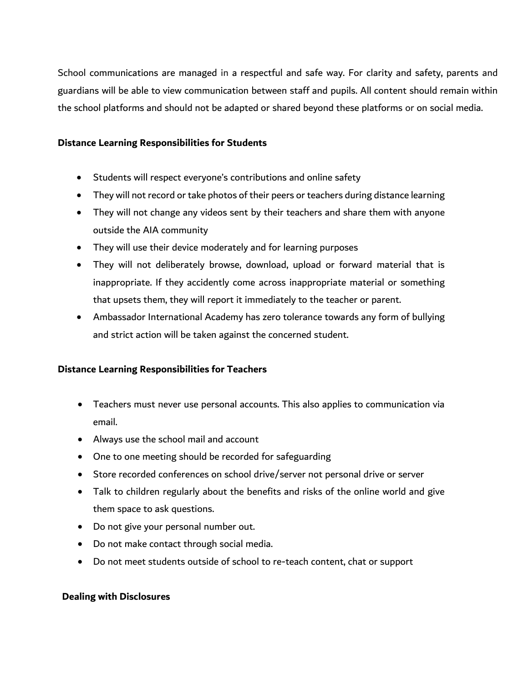School communications are managed in a respectful and safe way. For clarity and safety, parents and guardians will be able to view communication between staff and pupils. All content should remain within the school platforms and should not be adapted or shared beyond these platforms or on social media.

#### **Distance Learning Responsibilities for Students**

- Students will respect everyone's contributions and online safety
- They will not record or take photos of their peers or teachers during distance learning
- They will not change any videos sent by their teachers and share them with anyone outside the AIA community
- They will use their device moderately and for learning purposes
- They will not deliberately browse, download, upload or forward material that is inappropriate. If they accidently come across inappropriate material or something that upsets them, they will report it immediately to the teacher or parent.
- Ambassador International Academy has zero tolerance towards any form of bullying and strict action will be taken against the concerned student.

## **Distance Learning Responsibilities for Teachers**

- Teachers must never use personal accounts. This also applies to communication via email.
- Always use the school mail and account
- One to one meeting should be recorded for safeguarding
- Store recorded conferences on school drive/server not personal drive or server
- Talk to children regularly about the benefits and risks of the online world and give them space to ask questions.
- Do not give your personal number out.
- Do not make contact through social media.
- Do not meet students outside of school to re-teach content, chat or support

#### **Dealing with Disclosures**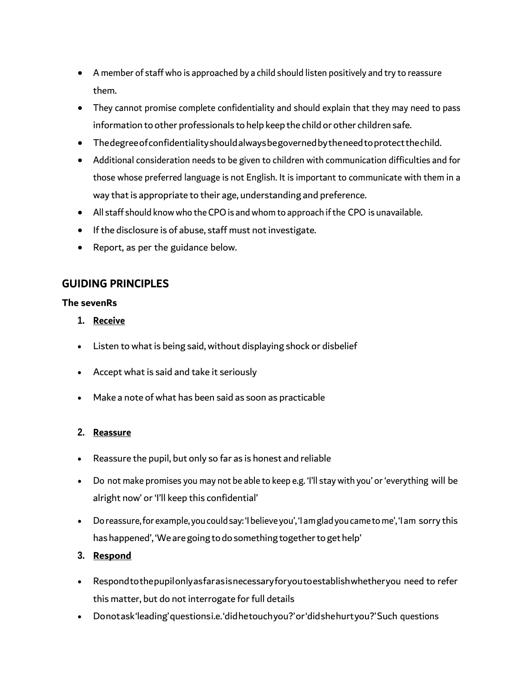- A member of staff who is approached by a child should listen positively and try to reassure them.
- They cannot promise complete confidentiality and should explain that they may need to pass information to other professionals to help keep the child or other children safe.
- Thedegreeofconfidentialityshouldalwaysbegovernedbytheneedtoprotectthechild.
- Additional consideration needs to be given to children with communication difficulties and for those whose preferred language is not English. It is important to communicate with them in a way that is appropriate to their age, understanding and preference.
- All staff should know who the CPO is and whom to approach if the CPO is unavailable.
- If the disclosure is of abuse, staff must not investigate.
- Report, as per the guidance below.

# **GUIDING PRINCIPLES**

#### **The sevenRs**

- **1. Receive**
- Listen to what is being said, without displaying shock or disbelief
- Accept what is said and take it seriously
- Make a note ofwhat has been said as soon as practicable

## **2. Reassure**

- Reassure the pupil, but only so far as is honest and reliable
- Do not make promises you may not be able to keep e.g. 'I'll stay with you' or 'everything will be alright now' or 'I'll keep this confidential'
- Doreassure,for example, youcouldsay: 'Ibelieveyou', 'Iamgladyoucametome', 'I am sorry this has happened', 'We are going to do something together to get help'

## **3. Respond**

- Respondtothepupilonlyasfarasisnecessaryforyoutoestablishwhetheryou need to refer this matter, but do not interrogate for full details
- Donotask'leading'questionsi.e.'didhetouchyou?'or'didshehurtyou?'Such questions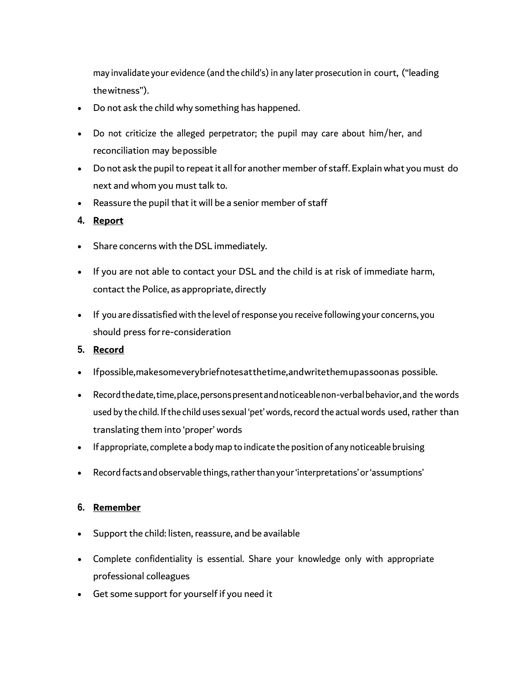may invalidate your evidence (and the child's) in any later prosecution in court, ("leading thewitness'').

- Do not ask the child why something has happened.
- Do not criticize the alleged perpetrator; the pupil may care about him/her, and reconciliation may bepossible
- Do not ask the pupil to repeat it all for another member of staff. Explain what you must do next and whom you must talk to.
- Reassure the pupil that it will be a senior member of staff

#### **4. Report**

- Share concerns with the DSL immediately.
- If you are not able to contact your DSL and the child is at risk of immediate harm, contact the Police, as appropriate, directly
- If you are dissatisfied with the level of response you receive following your concerns, you should press forre-consideration

#### **5. Record**

- Ifpossible,makesomeverybriefnotesatthetime,andwritethemupassoonas possible.
- Recordthedate,time,place,personspresentandnoticeablenon-verbalbehavior,and thewords used by the child. If the child uses sexual 'pet' words, record the actual words used, rather than translating them into 'proper' words
- If appropriate, complete a body map to indicate the position of any noticeable bruising
- Record facts andobservable things,ratherthan your'interpretations'or'assumptions'

#### **6. Remember**

- Support the child: listen, reassure, and be available
- Complete confidentiality is essential. Share your knowledge only with appropriate professional colleagues
- Get some support for yourself if you need it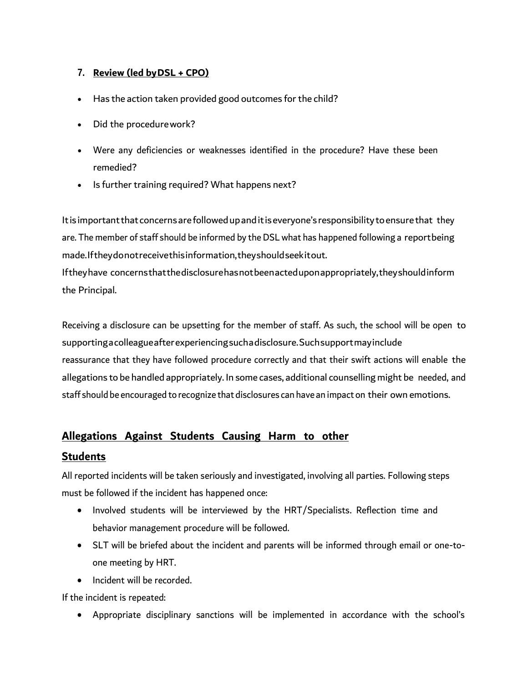## **7. Review (led byDSL + CPO)**

- Has the action taken provided good outcomes for the child?
- Did the procedurework?
- Were any deficiencies or weaknesses identified in the procedure? Have these been remedied?
- Is further training required? What happens next?

Itis importantthat concernsarefollowedupanditiseveryone's responsibility toensurethat they are. The member of staff should be informed by the DSL what has happened following a reportbeing made.Iftheydonotreceivethisinformation,theyshouldseekitout.

Iftheyhave concernsthatthedisclosurehasnotbeenacteduponappropriately,theyshouldinform the Principal.

Receiving a disclosure can be upsetting for the member of staff. As such, the school will be open to supportingacolleagueafterexperiencingsuchadisclosure.Suchsupportmayinclude reassurance that they have followed procedure correctly and that their swift actions will enable the allegations to be handled appropriately. In some cases, additional counselling might be needed, and staff should be encouraged to recognize that disclosures can have an impact on their own emotions.

# **Allegations Against Students Causing Harm to other**

# **Students**

All reported incidents will be taken seriously and investigated, involving all parties. Following steps must be followed if the incident has happened once:

- Involved students will be interviewed by the HRT/Specialists. Reflection time and behavior management procedure will be followed.
- SLT will be briefed about the incident and parents will be informed through email or one-toone meeting by HRT.
- Incident will be recorded.

If the incident is repeated:

• Appropriate disciplinary sanctions will be implemented in accordance with the school's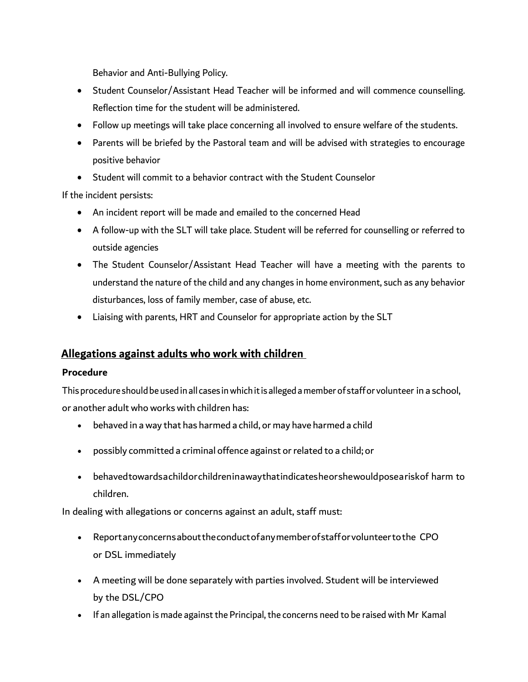Behavior and Anti-Bullying Policy.

- Student Counselor/Assistant Head Teacher will be informed and will commence counselling. Reflection time for the student will be administered.
- Follow up meetings will take place concerning all involved to ensure welfare of the students.
- Parents will be briefed by the Pastoral team and will be advised with strategies to encourage positive behavior
- Student will commit to a behavior contract with the Student Counselor

If the incident persists:

- An incident report will be made and emailed to the concerned Head
- A follow-up with the SLT will take place. Student will be referred for counselling or referred to outside agencies
- The Student Counselor/Assistant Head Teacher will have a meeting with the parents to understand the nature of the child and any changes in home environment, such as any behavior disturbances, loss of family member, case of abuse, etc.
- Liaising with parents, HRT and Counselor for appropriate action by the SLT

# **Allegations against adults who work with children**

## **Procedure**

Thisprocedureshouldbe usedin all cases inwhichitis alleged amember of staffor volunteer in a school, or another adult who works with children has:

- behaved in away that has harmed a child, or may have harmed a child
- possibly committed a criminal offence against or related to a child; or
- behavedtowardsachildorchildreninawaythatindicatesheorshewouldposeariskof harm to children.

In dealing with allegations or concerns against an adult, staff must:

- Reportanyconcernsabouttheconductofanymemberofstafforvolunteertothe CPO or DSL immediately
- A meeting will be done separately with parties involved. Student will be interviewed by the DSL/CPO
- If an allegation is made against the Principal, the concerns need to be raised with Mr Kamal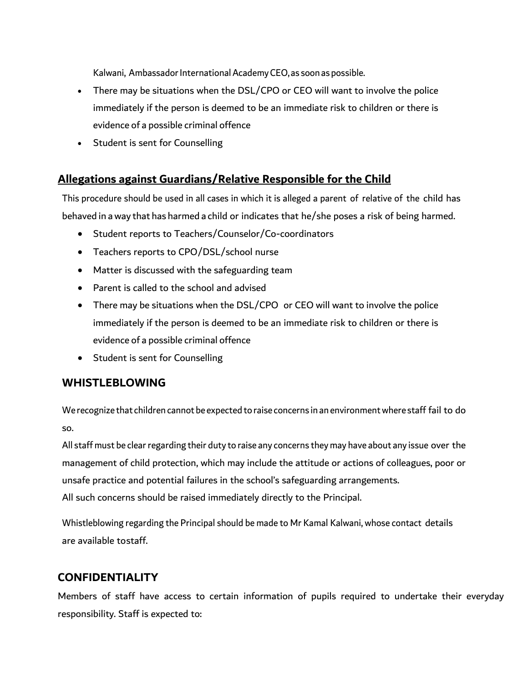Kalwani, Ambassador International Academy CEO, as soon as possible.

- There may be situations when the DSL/CPO or CEO will want to involve the police immediately if the person is deemed to be an immediate risk to children or there is evidence of a possible criminal offence
- Student is sent for Counselling

# **Allegations against Guardians/Relative Responsible for the Child**

This procedure should be used in all cases in which it is alleged a parent of relative of the child has behaved in away that has harmed a child or indicates that he/she poses a risk of being harmed.

- Student reports to Teachers/Counselor/Co-coordinators
- Teachers reports to CPO/DSL/school nurse
- Matter is discussed with the safeguarding team
- Parent is called to the school and advised
- There may be situations when the DSL/CPO or CEO will want to involve the police immediately if the person is deemed to be an immediate risk to children or there is evidence of a possible criminal offence
- Student is sent for Counselling

## **WHISTLEBLOWING**

We recognize that children cannot be expected to raise concerns in an environmentwhere staff fail to do so.

All staff must be clear regarding their duty to raise any concerns they may have about any issue over the management of child protection, which may include the attitude or actions of colleagues, poor or unsafe practice and potential failures in the school's safeguarding arrangements. All such concerns should be raised immediately directly to the Principal.

Whistleblowing regarding the Principal should be made to Mr Kamal Kalwani, whose contact details are available tostaff.

# **CONFIDENTIALITY**

Members of staff have access to certain information of pupils required to undertake their everyday responsibility. Staff is expected to: